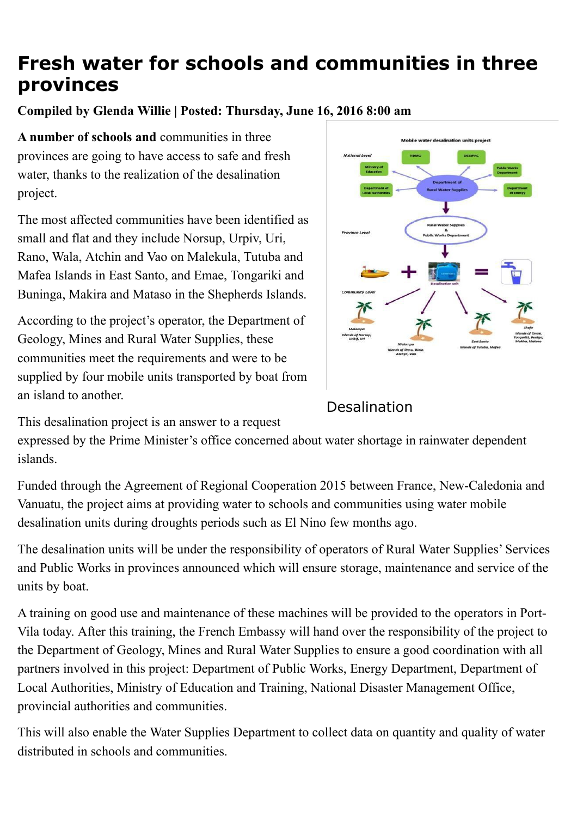## **Fresh water for schools and communities in three provinces**

**Compiled by Glenda Willie | Posted: Thursday, June 16, 2016 8:00 am**

A number of schools and communities in three provinces are going to have access to safe and fresh water, thanks to the realization of the desalination project.

The most affected communities have been identified as small and flat and they include Norsup, Urpiv, Uri, Rano, Wala, Atchin and Vao on Malekula, Tutuba and Mafea Islands in East Santo, and Emae, Tongariki and Buninga, Makira and Mataso in the Shepherds Islands.

According to the project's operator, the Department of Geology, Mines and Rural Water Supplies, these communities meet the requirements and were to be supplied by four mobile units transported by boat from an island to another.



## Desalination

This desalination project is an answer to a request

expressed by the Prime Minister's office concerned about water shortage in rainwater dependent islands.

Funded through the Agreement of Regional Cooperation 2015 between France, New-Caledonia and Vanuatu, the project aims at providing water to schools and communities using water mobile desalination units during droughts periods such as El Nino few months ago.

The desalination units will be under the responsibility of operators of Rural Water Supplies' Services and Public Works in provinces announced which will ensure storage, maintenance and service of the units by boat.

A training on good use and maintenance of these machines will be provided to the operators in Port-Vila today. After this training, the French Embassy will hand over the responsibility of the project to the Department of Geology, Mines and Rural Water Supplies to ensure a good coordination with all partners involved in this project: Department of Public Works, Energy Department, Department of Local Authorities, Ministry of Education and Training, National Disaster Management Office, provincial authorities and communities.

This will also enable the Water Supplies Department to collect data on quantity and quality of water distributed in schools and communities.